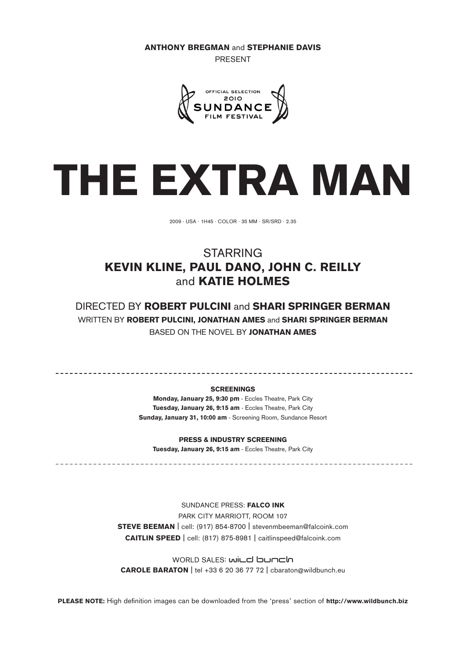Anthony Bregman and Stephanie Davis

present



# THE EXTRA MAN

2009 . USA . 1h45 . COLOR . 35 mm . Sr/srd . 2.35

# **STARRING** KEVIN KLINE, PAUL DANO, JOHN C. REILLY and KATIE HOLMES

DIRECTED BY ROBERT PULCINI and SHARI SPRINGER BERMAN WRITTEN BY ROBERT PULCINI, JONATHAN AMES and SHARI SPRINGER BERMAN Based on the novel by Jonathan Ames

#### **SCREENINGS**

Monday, January 25, 9:30 pm - Eccles Theatre, Park City Tuesday, January 26, 9:15 am - Eccles Theatre, Park City Sunday, January 31, 10:00 am - Screening Room, Sundance Resort

PRESS & INDUSTRY SCREENING

Tuesday, January 26, 9:15 am - Eccles Theatre, Park City

Sundance Press: Falco Ink PARK CITY MARRIOTT, ROOM 107 Steve Beeman | cell: (917) 854-8700 | stevenmbeeman@falcoink.com Caitlin Speed | cell: (817) 875-8981 | caitlinspeed@falcoink.com

world sales: wild bunch Carole Baraton | tel +33 6 20 36 77 72 | cbaraton@wildbunch.eu

PLEASE NOTE: High definition images can be downloaded from the 'press' section of http://www.wildbunch.biz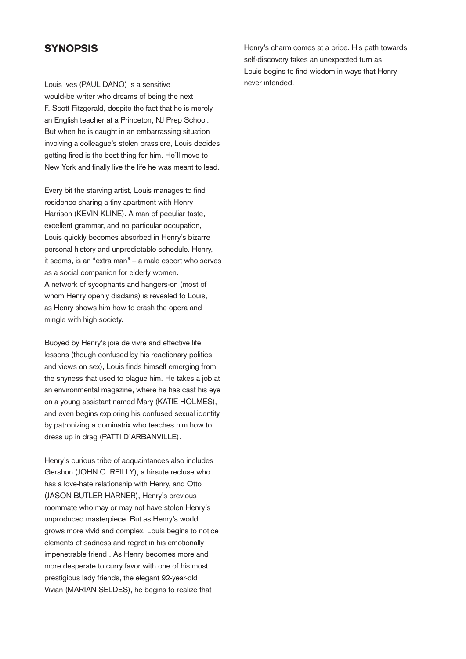#### **SYNOPSIS**

Louis Ives (PAUL DANO) is a sensitive would-be writer who dreams of being the next F. Scott Fitzgerald, despite the fact that he is merely an English teacher at a Princeton, NJ Prep School. But when he is caught in an embarrassing situation involving a colleague's stolen brassiere, Louis decides getting fired is the best thing for him. He'll move to New York and finally live the life he was meant to lead.

Every bit the starving artist, Louis manages to find residence sharing a tiny apartment with Henry Harrison (KEVIN KLINE). A man of peculiar taste, excellent grammar, and no particular occupation, Louis quickly becomes absorbed in Henry's bizarre personal history and unpredictable schedule. Henry, it seems, is an "extra man" – a male escort who serves as a social companion for elderly women. A network of sycophants and hangers-on (most of whom Henry openly disdains) is revealed to Louis, as Henry shows him how to crash the opera and mingle with high society.

Buoyed by Henry's joie de vivre and effective life lessons (though confused by his reactionary politics and views on sex), Louis finds himself emerging from the shyness that used to plague him. He takes a job at an environmental magazine, where he has cast his eye on a young assistant named Mary (KATIE HOLMES), and even begins exploring his confused sexual identity by patronizing a dominatrix who teaches him how to dress up in drag (PATTI D'ARBANVILLE).

Henry's curious tribe of acquaintances also includes Gershon (JOHN C. REILLY), a hirsute recluse who has a love-hate relationship with Henry, and Otto (JASON BUTLER HARNER), Henry's previous roommate who may or may not have stolen Henry's unproduced masterpiece. But as Henry's world grows more vivid and complex, Louis begins to notice elements of sadness and regret in his emotionally impenetrable friend . As Henry becomes more and more desperate to curry favor with one of his most prestigious lady friends, the elegant 92-year-old Vivian (MARIAN SELDES), he begins to realize that

Henry's charm comes at a price. His path towards self-discovery takes an unexpected turn as Louis begins to find wisdom in ways that Henry never intended.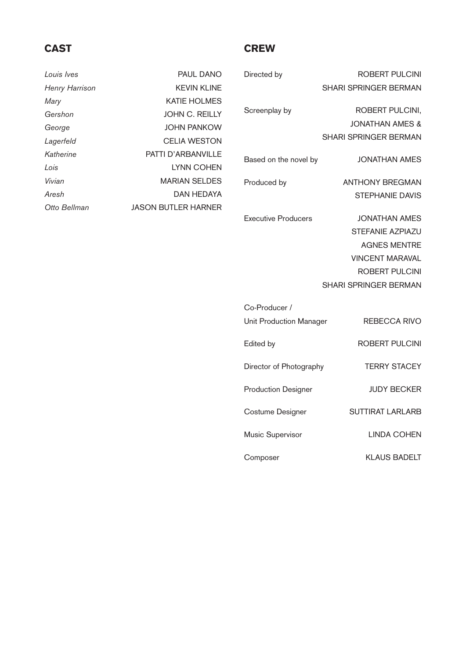# CAST

# **CREW**

| Louis Ives            | PAUL DANO                  |
|-----------------------|----------------------------|
| <b>Henry Harrison</b> | <b>KEVIN KLINE</b>         |
| Mary                  | KATIE HOLMES               |
| Gershon               | JOHN C. REILLY             |
| George                | JOHN PANKOW                |
| Lagerfeld             | <b>CELIA WESTON</b>        |
| Katherine             | PATTI D'ARBANVILLE         |
| Lois                  | <b>LYNN COHEN</b>          |
| Vivian                | <b>MARIAN SELDES</b>       |
| Aresh                 | DAN HEDAYA                 |
| Otto Bellman          | <b>JASON BUTLER HARNER</b> |

| Directed by   | ROBERT PULCINI               |
|---------------|------------------------------|
|               | <b>SHARI SPRINGER BERMAN</b> |
| Screenplay by | ROBERT PULCINI.              |
|               | JONATHAN AMES &              |

Based on the novel by **JONATHAN AMES** 

Produced by **ANTHONY BREGMAN** STEPHANIE DAVIS

SHARI SPRINGER BERMAN

Executive Producers JONATHAN AMES STEFANIE AZPIAZU AGNES MENTRE VINCENT MARAVAL ROBERT PULCINI SHARI SPRINGER BERMAN

| Co-Producer /                  |                     |
|--------------------------------|---------------------|
| <b>Unit Production Manager</b> | REBECCA RIVO        |
| Edited by                      | ROBERT PULCINI      |
| Director of Photography        | <b>TERRY STACEY</b> |
| <b>Production Designer</b>     | <b>JUDY BECKER</b>  |
| Costume Designer               | SUTTIRAT LARLARB    |
| Music Supervisor               | LINDA COHEN         |
| Composer                       | KLAUS BADELT        |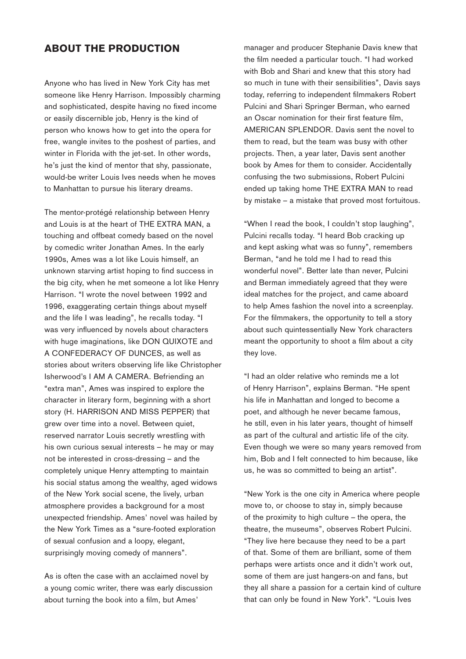#### About the Production

Anyone who has lived in New York City has met someone like Henry Harrison. Impossibly charming and sophisticated, despite having no fixed income or easily discernible job, Henry is the kind of person who knows how to get into the opera for free, wangle invites to the poshest of parties, and winter in Florida with the jet-set. In other words, he's just the kind of mentor that shy, passionate, would-be writer Louis Ives needs when he moves to Manhattan to pursue his literary dreams.

The mentor-protégé relationship between Henry and Louis is at the heart of THE EXTRA MAN, a touching and offbeat comedy based on the novel by comedic writer Jonathan Ames. In the early 1990s, Ames was a lot like Louis himself, an unknown starving artist hoping to find success in the big city, when he met someone a lot like Henry Harrison. "I wrote the novel between 1992 and 1996, exaggerating certain things about myself and the life I was leading", he recalls today. "I was very influenced by novels about characters with huge imaginations, like DON QUIXOTE and A Confederacy of Dunces, as well as stories about writers observing life like Christopher Isherwood's I AM A CAMERA. Befriending an "extra man", Ames was inspired to explore the character in literary form, beginning with a short story (H. HARRISON AND MISS PEPPER) that grew over time into a novel. Between quiet, reserved narrator Louis secretly wrestling with his own curious sexual interests – he may or may not be interested in cross-dressing – and the completely unique Henry attempting to maintain his social status among the wealthy, aged widows of the New York social scene, the lively, urban atmosphere provides a background for a most unexpected friendship. Ames' novel was hailed by the New York Times as a "sure-footed exploration of sexual confusion and a loopy, elegant, surprisingly moving comedy of manners".

As is often the case with an acclaimed novel by a young comic writer, there was early discussion about turning the book into a film, but Ames'

manager and producer Stephanie Davis knew that the film needed a particular touch. "I had worked with Bob and Shari and knew that this story had so much in tune with their sensibilities", Davis says today, referring to independent filmmakers Robert Pulcini and Shari Springer Berman, who earned an Oscar nomination for their first feature film, AMERICAN SPLENDOR. Davis sent the novel to them to read, but the team was busy with other projects. Then, a year later, Davis sent another book by Ames for them to consider. Accidentally confusing the two submissions, Robert Pulcini ended up taking home THE EXTRA MAN to read by mistake – a mistake that proved most fortuitous.

"When I read the book, I couldn't stop laughing", Pulcini recalls today. "I heard Bob cracking up and kept asking what was so funny", remembers Berman, "and he told me I had to read this wonderful novel". Better late than never, Pulcini and Berman immediately agreed that they were ideal matches for the project, and came aboard to help Ames fashion the novel into a screenplay. For the filmmakers, the opportunity to tell a story about such quintessentially New York characters meant the opportunity to shoot a film about a city they love.

"I had an older relative who reminds me a lot of Henry Harrison", explains Berman. "He spent his life in Manhattan and longed to become a poet, and although he never became famous, he still, even in his later years, thought of himself as part of the cultural and artistic life of the city. Even though we were so many years removed from him, Bob and I felt connected to him because, like us, he was so committed to being an artist".

"New York is the one city in America where people move to, or choose to stay in, simply because of the proximity to high culture – the opera, the theatre, the museums", observes Robert Pulcini. "They live here because they need to be a part of that. Some of them are brilliant, some of them perhaps were artists once and it didn't work out, some of them are just hangers-on and fans, but they all share a passion for a certain kind of culture that can only be found in New York". "Louis Ives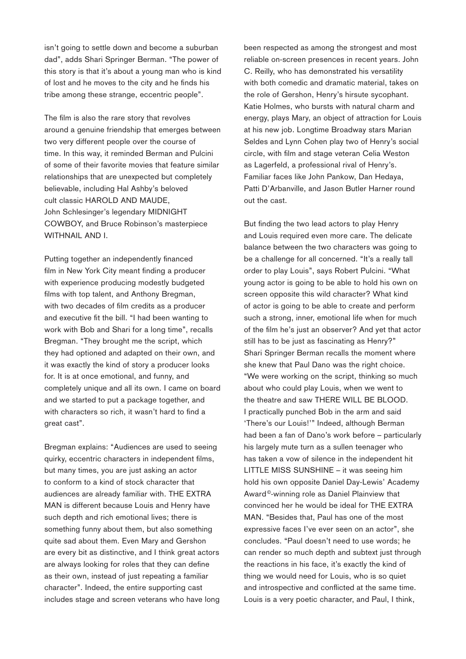isn't going to settle down and become a suburban dad", adds Shari Springer Berman. "The power of this story is that it's about a young man who is kind of lost and he moves to the city and he finds his tribe among these strange, eccentric people".

The film is also the rare story that revolves around a genuine friendship that emerges between two very different people over the course of time. In this way, it reminded Berman and Pulcini of some of their favorite movies that feature similar relationships that are unexpected but completely believable, including Hal Ashby's beloved cult classic HAROLD AND MAUDE, John Schlesinger's legendary MIDNIGHT Cowboy, and Bruce Robinson's masterpiece WITHNAIL AND I.

Putting together an independently financed film in New York City meant finding a producer with experience producing modestly budgeted films with top talent, and Anthony Bregman, with two decades of film credits as a producer and executive fit the bill. "I had been wanting to work with Bob and Shari for a long time", recalls Bregman. "They brought me the script, which they had optioned and adapted on their own, and it was exactly the kind of story a producer looks for. It is at once emotional, and funny, and completely unique and all its own. I came on board and we started to put a package together, and with characters so rich, it wasn't hard to find a great cast".

Bregman explains: "Audiences are used to seeing quirky, eccentric characters in independent films, but many times, you are just asking an actor to conform to a kind of stock character that audiences are already familiar with. THE EXTRA MAN is different because Louis and Henry have such depth and rich emotional lives; there is something funny about them, but also something quite sad about them. Even Mary and Gershon are every bit as distinctive, and I think great actors are always looking for roles that they can define as their own, instead of just repeating a familiar character". Indeed, the entire supporting cast includes stage and screen veterans who have long been respected as among the strongest and most reliable on-screen presences in recent years. John C. Reilly, who has demonstrated his versatility with both comedic and dramatic material, takes on the role of Gershon, Henry's hirsute sycophant. Katie Holmes, who bursts with natural charm and energy, plays Mary, an object of attraction for Louis at his new job. Longtime Broadway stars Marian Seldes and Lynn Cohen play two of Henry's social circle, with film and stage veteran Celia Weston as Lagerfeld, a professional rival of Henry's. Familiar faces like John Pankow, Dan Hedaya, Patti D'Arbanville, and Jason Butler Harner round out the cast.

But finding the two lead actors to play Henry and Louis required even more care. The delicate balance between the two characters was going to be a challenge for all concerned. "It's a really tall order to play Louis", says Robert Pulcini. "What young actor is going to be able to hold his own on screen opposite this wild character? What kind of actor is going to be able to create and perform such a strong, inner, emotional life when for much of the film he's just an observer? And yet that actor still has to be just as fascinating as Henry?" Shari Springer Berman recalls the moment where she knew that Paul Dano was the right choice. "We were working on the script, thinking so much about who could play Louis, when we went to the theatre and saw THERE WILL BE BLOOD. I practically punched Bob in the arm and said 'There's our Louis!'" Indeed, although Berman had been a fan of Dano's work before – particularly his largely mute turn as a sullen teenager who has taken a vow of silence in the independent hit LITTLE MISS SUNSHINE – it was seeing him hold his own opposite Daniel Day-Lewis' Academy Award ©-winning role as Daniel Plainview that convinced her he would be ideal for THE EXTRA MAN. "Besides that, Paul has one of the most expressive faces I've ever seen on an actor", she concludes. "Paul doesn't need to use words; he can render so much depth and subtext just through the reactions in his face, it's exactly the kind of thing we would need for Louis, who is so quiet and introspective and conflicted at the same time. Louis is a very poetic character, and Paul, I think,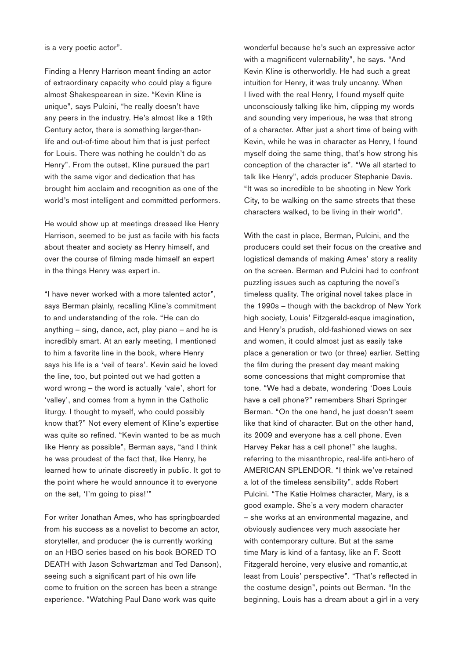is a very poetic actor".

Finding a Henry Harrison meant finding an actor of extraordinary capacity who could play a figure almost Shakespearean in size. "Kevin Kline is unique", says Pulcini, "he really doesn't have any peers in the industry. He's almost like a 19th Century actor, there is something larger-thanlife and out-of-time about him that is just perfect for Louis. There was nothing he couldn't do as Henry". From the outset, Kline pursued the part with the same vigor and dedication that has brought him acclaim and recognition as one of the world's most intelligent and committed performers.

He would show up at meetings dressed like Henry Harrison, seemed to be just as facile with his facts about theater and society as Henry himself, and over the course of filming made himself an expert in the things Henry was expert in.

"I have never worked with a more talented actor", says Berman plainly, recalling Kline's commitment to and understanding of the role. "He can do anything – sing, dance, act, play piano – and he is incredibly smart. At an early meeting, I mentioned to him a favorite line in the book, where Henry says his life is a 'veil of tears'. Kevin said he loved the line, too, but pointed out we had gotten a word wrong – the word is actually 'vale', short for 'valley', and comes from a hymn in the Catholic liturgy. I thought to myself, who could possibly know that?" Not every element of Kline's expertise was quite so refined. "Kevin wanted to be as much like Henry as possible", Berman says, "and I think he was proudest of the fact that, like Henry, he learned how to urinate discreetly in public. It got to the point where he would announce it to everyone on the set, 'I'm going to piss!'"

For writer Jonathan Ames, who has springboarded from his success as a novelist to become an actor, storyteller, and producer (he is currently working on an HBO series based on his book BORED TO DEATH with Jason Schwartzman and Ted Danson), seeing such a significant part of his own life come to fruition on the screen has been a strange experience. "Watching Paul Dano work was quite

wonderful because he's such an expressive actor with a magnificent vulernability", he says. "And Kevin Kline is otherworldly. He had such a great intuition for Henry, it was truly uncanny. When I lived with the real Henry, I found myself quite unconsciously talking like him, clipping my words and sounding very imperious, he was that strong of a character. After just a short time of being with Kevin, while he was in character as Henry, I found myself doing the same thing, that's how strong his conception of the character is". "We all started to talk like Henry", adds producer Stephanie Davis. "It was so incredible to be shooting in New York City, to be walking on the same streets that these characters walked, to be living in their world".

With the cast in place, Berman, Pulcini, and the producers could set their focus on the creative and logistical demands of making Ames' story a reality on the screen. Berman and Pulcini had to confront puzzling issues such as capturing the novel's timeless quality. The original novel takes place in the 1990s – though with the backdrop of New York high society, Louis' Fitzgerald-esque imagination, and Henry's prudish, old-fashioned views on sex and women, it could almost just as easily take place a generation or two (or three) earlier. Setting the film during the present day meant making some concessions that might compromise that tone. "We had a debate, wondering 'Does Louis have a cell phone?" remembers Shari Springer Berman. "On the one hand, he just doesn't seem like that kind of character. But on the other hand, its 2009 and everyone has a cell phone. Even Harvey Pekar has a cell phone!" she laughs, referring to the misanthropic, real-life anti-hero of AMERICAN SPLENDOR. "I think we've retained a lot of the timeless sensibility", adds Robert Pulcini. "The Katie Holmes character, Mary, is a good example. She's a very modern character – she works at an environmental magazine, and obviously audiences very much associate her with contemporary culture. But at the same time Mary is kind of a fantasy, like an F. Scott Fitzgerald heroine, very elusive and romantic,at least from Louis' perspective". "That's reflected in the costume design", points out Berman. "In the beginning, Louis has a dream about a girl in a very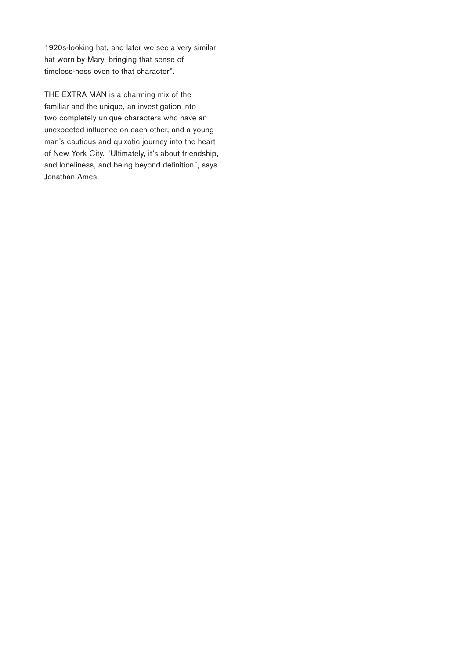1920s-looking hat, and later we see a very similar hat worn by Mary, bringing that sense of timeless-ness even to that character".

THE EXTRA MAN is a charming mix of the familiar and the unique, an investigation into two completely unique characters who have an unexpected influence on each other, and a young man's cautious and quixotic journey into the heart of New York City. "Ultimately, it's about friendship, and loneliness, and being beyond definition", says Jonathan Ames.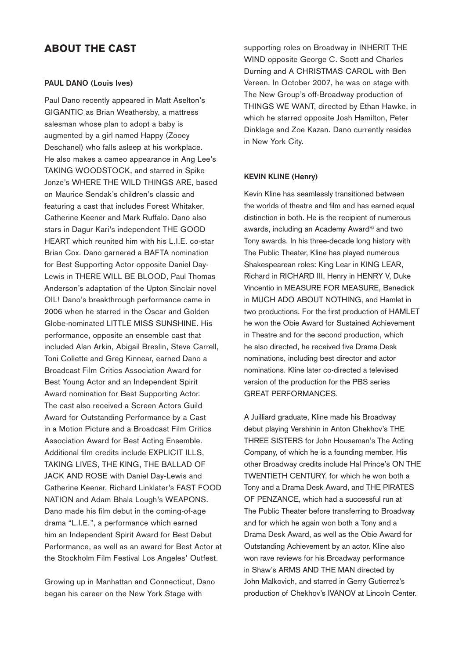#### About the Cast

#### **PAUL DANO (Louis Ives)**

Paul Dano recently appeared in Matt Aselton's GIGANTIC as Brian Weathersby, a mattress salesman whose plan to adopt a baby is augmented by a girl named Happy (Zooey Deschanel) who falls asleep at his workplace. He also makes a cameo appearance in Ang Lee's Taking Woodstock, and starred in Spike Jonze's WHERE THE WILD THINGS ARE, based on Maurice Sendak's children's classic and featuring a cast that includes Forest Whitaker, Catherine Keener and Mark Ruffalo. Dano also stars in Dagur Kari's independent THE GOOD HEART which reunited him with his L.I.E. co-star Brian Cox. Dano garnered a BAFTA nomination for Best Supporting Actor opposite Daniel Day-Lewis in THERE WILL BE BLOOD, Paul Thomas Anderson's adaptation of the Upton Sinclair novel Oil! Dano's breakthrough performance came in 2006 when he starred in the Oscar and Golden Globe-nominated Little Miss Sunshine. His performance, opposite an ensemble cast that included Alan Arkin, Abigail Breslin, Steve Carrell, Toni Collette and Greg Kinnear, earned Dano a Broadcast Film Critics Association Award for Best Young Actor and an Independent Spirit Award nomination for Best Supporting Actor. The cast also received a Screen Actors Guild Award for Outstanding Performance by a Cast in a Motion Picture and a Broadcast Film Critics Association Award for Best Acting Ensemble. Additional film credits include EXPLICIT ILLS, Taking Lives, The King, The Ballad of Jack and Rose with Daniel Day-Lewis and Catherine Keener, Richard Linklater's Fast Food NATION and Adam Bhala Lough's WEAPONS. Dano made his film debut in the coming-of-age drama "L.I.E.", a performance which earned him an Independent Spirit Award for Best Debut Performance, as well as an award for Best Actor at the Stockholm Film Festival Los Angeles' Outfest.

Growing up in Manhattan and Connecticut, Dano began his career on the New York Stage with

supporting roles on Broadway in INHERIT THE Wind opposite George C. Scott and Charles Durning and A CHRISTMAS CAROL with Ben Vereen. In October 2007, he was on stage with The New Group's off-Broadway production of Things We Want, directed by Ethan Hawke, in which he starred opposite Josh Hamilton, Peter Dinklage and Zoe Kazan. Dano currently resides in New York City.

#### **KEVIN KLINE (Henry)**

Kevin Kline has seamlessly transitioned between the worlds of theatre and film and has earned equal distinction in both. He is the recipient of numerous awards, including an Academy Award<sup>®</sup> and two Tony awards. In his three-decade long history with The Public Theater, Kline has played numerous Shakespearean roles: King Lear in KING LEAR, Richard in Richard III, Henry in Henry V, Duke Vincentio in Measure for Measure, Benedick in MUCH ADO ABOUT NOTHING, and Hamlet in two productions. For the first production of HAMLET he won the Obie Award for Sustained Achievement in Theatre and for the second production, which he also directed, he received five Drama Desk nominations, including best director and actor nominations. Kline later co-directed a televised version of the production for the PBS series Great Performances.

A Juilliard graduate, Kline made his Broadway debut playing Vershinin in Anton Chekhov's THE THREE SISTERS for John Houseman's The Acting Company, of which he is a founding member. His other Broadway credits include Hal Prince's ON THE TWENTIETH CENTURY, for which he won both a Tony and a Drama Desk Award, and THE PIRATES OF PENZANCE, which had a successful run at The Public Theater before transferring to Broadway and for which he again won both a Tony and a Drama Desk Award, as well as the Obie Award for Outstanding Achievement by an actor. Kline also won rave reviews for his Broadway performance in Shaw's ARMS AND THE MAN directed by John Malkovich, and starred in Gerry Gutierrez's production of Chekhov's IVANOV at Lincoln Center.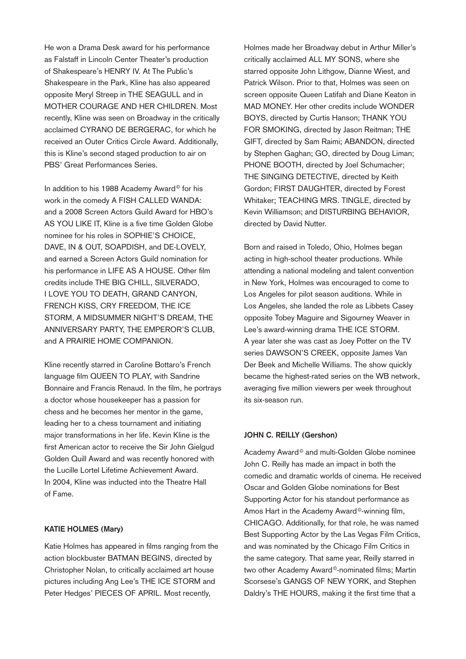He won a Drama Desk award for his performance as Falstaff in Lincoln Center Theater's production of Shakespeare's HENRY IV. At The Public's Shakespeare in the Park, Kline has also appeared opposite Meryl Streep in THE SEAGULL and in Mother Courage AND Her Children. Most recently, Kline was seen on Broadway in the critically acclaimed CYRANO DE BERGERAC, for which he received an Outer Critics Circle Award. Additionally, this is Kline's second staged production to air on PBS' Great Performances Series.

In addition to his 1988 Academy Award<sup>®</sup> for his work in the comedy A FISH CALLED WANDA: and a 2008 Screen Actors Guild Award for HBO's AS YOU LIKE IT, Kline is a five time Golden Globe nominee for his roles in SOPHIE'S CHOICE, DAVE, IN & OUT, SOAPDISH, and DE-LOVELY, and earned a Screen Actors Guild nomination for his performance in LIFE AS A HOUSE. Other film credits include THE BIG CHILL, SILVERADO, I Love You to Death, Grand Canyon, French Kiss, Cry Freedom, The Ice Storm, A Midsummer Night's Dream, The Anniversary Party, The Emperor's Club, and A PRAIRIE HOME COMPANION.

Kline recently starred in Caroline Bottaro's French language film QUEEN TO PLAY, with Sandrine Bonnaire and Francis Renaud. In the film, he portrays a doctor whose housekeeper has a passion for chess and he becomes her mentor in the game, leading her to a chess tournament and initiating major transformations in her life. Kevin Kline is the first American actor to receive the Sir John Gielgud Golden Quill Award and was recently honored with the Lucille Lortel Lifetime Achievement Award. In 2004, Kline was inducted into the Theatre Hall of Fame.

#### **KATIE HOLMES (Mary)**

Katie Holmes has appeared in films ranging from the action blockbuster BATMAN BEGINS, directed by Christopher Nolan, to critically acclaimed art house pictures including Ang Lee's THE ICE STORM and Peter Hedges' PIECES OF APRIL. Most recently,

Holmes made her Broadway debut in Arthur Miller's critically acclaimed ALL MY SONS, where she starred opposite John Lithgow, Dianne Wiest, and Patrick Wilson. Prior to that, Holmes was seen on screen opposite Queen Latifah and Diane Keaton in MAD MONEY. Her other credits include WONDER Boys, directed by Curtis Hanson; Thank You for Smoking, directed by Jason Reitman; The GIFT, directed by Sam Raimi; ABANDON, directed by Stephen Gaghan; GO, directed by Doug Liman; PHONE BOOTH, directed by Joel Schumacher; THE SINGING DETECTIVE, directed by Keith Gordon; FIRST DAUGHTER, directed by Forest Whitaker; TEACHING MRS. TINGLE, directed by Kevin Williamson; and DISTURBING BEHAVIOR, directed by David Nutter.

Born and raised in Toledo, Ohio, Holmes began acting in high-school theater productions. While attending a national modeling and talent convention in New York, Holmes was encouraged to come to Los Angeles for pilot season auditions. While in Los Angeles, she landed the role as Libbets Casey opposite Tobey Maguire and Sigourney Weaver in Lee's award-winning drama THE ICE STORM. A year later she was cast as Joey Potter on the TV series DAWSON'S CREEK, opposite James Van Der Beek and Michelle Williams. The show quickly became the highest-rated series on the WB network, averaging five million viewers per week throughout its six-season run.

#### **JOHN C. REILLY (Gershon)**

Academy Award<sup>®</sup> and multi-Golden Globe nominee John C. Reilly has made an impact in both the comedic and dramatic worlds of cinema. He received Oscar and Golden Globe nominations for Best Supporting Actor for his standout performance as Amos Hart in the Academy Award<sup>®</sup>-winning film, CHICAGO. Additionally, for that role, he was named Best Supporting Actor by the Las Vegas Film Critics, and was nominated by the Chicago Film Critics in the same category. That same year, Reilly starred in two other Academy Award<sup>®</sup>-nominated films; Martin Scorsese's GANGS OF NEW YORK, and Stephen Daldry's THE HOURS, making it the first time that a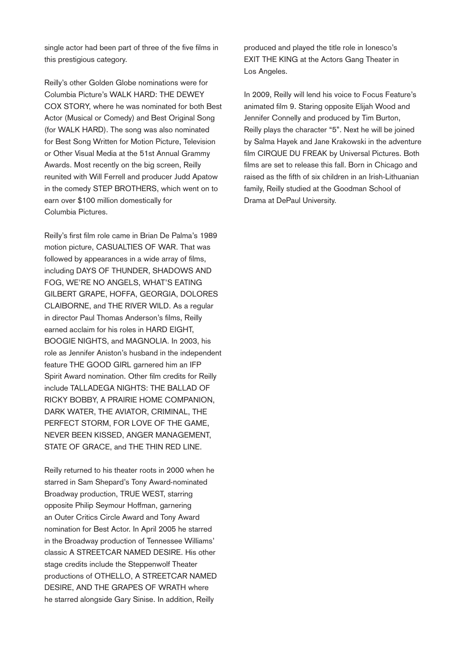single actor had been part of three of the five films in this prestigious category.

Reilly's other Golden Globe nominations were for Columbia Picture's WALK HARD: THE DEWEY COX STORY, where he was nominated for both Best Actor (Musical or Comedy) and Best Original Song (for WALK HARD). The song was also nominated for Best Song Written for Motion Picture, Television or Other Visual Media at the 51st Annual Grammy Awards. Most recently on the big screen, Reilly reunited with Will Ferrell and producer Judd Apatow in the comedy STEP BROTHERS, which went on to earn over \$100 million domestically for Columbia Pictures.

Reilly's first film role came in Brian De Palma's 1989 motion picture, CASUALTIES OF WAR. That was followed by appearances in a wide array of films, including DAYS OF THUNDER, SHADOWS AND Fog, We're No Angels, What's Eating Gilbert Grape, Hoffa, Georgia, Dolores CLAIBORNE, and THE RIVER WILD. As a regular in director Paul Thomas Anderson's films, Reilly earned acclaim for his roles in HARD EIGHT, BOOGIE NIGHTS, and MAGNOLIA. In 2003, his role as Jennifer Aniston's husband in the independent feature THE GOOD GIRL garnered him an IFP Spirit Award nomination. Other film credits for Reilly include TALLADEGA NIGHTS: THE BALLAD OF Ricky Bobby, A Prairie Home Companion, Dark Water, The Aviator, Criminal, The Perfect Storm, For Love of the Game, Never Been Kissed, Anger Management, STATE OF GRACE, and THE THIN RED LINE.

Reilly returned to his theater roots in 2000 when he starred in Sam Shepard's Tony Award-nominated Broadway production, TRUE WEST, starring opposite Philip Seymour Hoffman, garnering an Outer Critics Circle Award and Tony Award nomination for Best Actor. In April 2005 he starred in the Broadway production of Tennessee Williams' classic A STREETCAR NAMED DESIRE. His other stage credits include the Steppenwolf Theater productions of OTHELLO, A STREETCAR NAMED DESIRE, AND THE GRAPES OF WRATH where he starred alongside Gary Sinise. In addition, Reilly

produced and played the title role in Ionesco's EXIT THE KING at the Actors Gang Theater in Los Angeles.

In 2009, Reilly will lend his voice to Focus Feature's animated film 9. Staring opposite Elijah Wood and Jennifer Connelly and produced by Tim Burton, Reilly plays the character "5". Next he will be joined by Salma Hayek and Jane Krakowski in the adventure film CIRQUE DU FREAK by Universal Pictures. Both films are set to release this fall. Born in Chicago and raised as the fifth of six children in an Irish-Lithuanian family, Reilly studied at the Goodman School of Drama at DePaul University.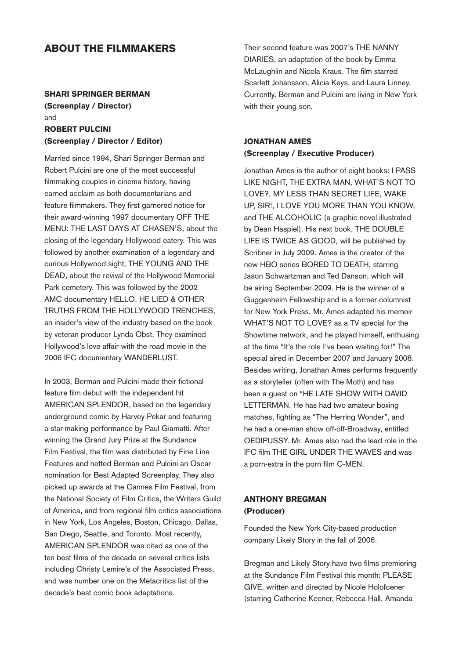#### About the Filmmakers

## SHARI SPRINGER BERMAN (Screenplay / Director) and ROBERT PULCINI

# (Screenplay / Director / Editor)

Married since 1994, Shari Springer Berman and Robert Pulcini are one of the most successful filmmaking couples in cinema history, having earned acclaim as both documentarians and feature filmmakers. They first garnered notice for their award-winning 1997 documentary OFF THE Menu: The Last Days at Chasen's, about the closing of the legendary Hollywood eatery. This was followed by another examination of a legendary and curious Hollywood sight, THE YOUNG AND THE DEAD, about the revival of the Hollywood Memorial Park cemetery. This was followed by the 2002 AMC documentary HELLO, HE LIED & OTHER Truths from the Hollywood Trenches, an insider's view of the industry based on the book by veteran producer Lynda Obst. They examined Hollywood's love affair with the road movie in the 2006 IFC documentary WANDERLUST.

In 2003, Berman and Pulcini made their fictional feature film debut with the independent hit AMERICAN SPLENDOR, based on the legendary underground comic by Harvey Pekar and featuring a star-making performance by Paul Giamatti. After winning the Grand Jury Prize at the Sundance Film Festival, the film was distributed by Fine Line Features and netted Berman and Pulcini an Oscar nomination for Best Adapted Screenplay. They also picked up awards at the Cannes Film Festival, from the National Society of Film Critics, the Writers Guild of America, and from regional film critics associations in New York, Los Angeles, Boston, Chicago, Dallas, San Diego, Seattle, and Toronto. Most recently, AMERICAN SPLENDOR was cited as one of the ten best films of the decade on several critics lists including Christy Lemire's of the Associated Press, and was number one on the Metacritics list of the decade's best comic book adaptations.

Their second feature was 2007's The Nanny DIARIES, an adaptation of the book by Emma McLaughlin and Nicola Kraus. The film starred Scarlett Johansson, Alicia Keys, and Laura Linney. Currently, Berman and Pulcini are living in New York with their young son.

#### JONATHAN AMES (Screenplay / Executive Producer)

Jonathan Ames is the author of eight books: I PASS Like Night, The Extra Man, What's Not to Love?, My Less Than Secret Life, Wake Up, Sir!, I Love You More Than You Know, and THE ALCOHOLIC (a graphic novel illustrated by Dean Haspiel). His next book, THE DOUBLE Life is Twice As GooD, will be published by Scribner in July 2009. Ames is the creator of the new HBO series BORED TO DEATH, starring Jason Schwartzman and Ted Danson, which will be airing September 2009. He is the winner of a Guggenheim Fellowship and is a former columnist for New York Press. Mr. Ames adapted his memoir WHAT'S NOT TO LOVE? as a TV special for the Showtime network, and he played himself, enthusing at the time "It's the role I've been waiting for!" The special aired in December 2007 and January 2008. Besides writing, Jonathan Ames performs frequently as a storyteller (often with The Moth) and has been a quest on "HE LATE SHOW WITH DAVID LETTERMAN. He has had two amateur boxing matches, fighting as "The Herring Wonder", and he had a one-man show off-off-Broadway, entitled OEDIPUSSY. Mr. Ames also had the lead role in the IFC film The Girl Under the Waves and was a porn-extra in the porn film C-Men.

#### ANTHONY BREGMAN (Producer)

Founded the New York City-based production company Likely Story in the fall of 2006.

Bregman and Likely Story have two films premiering at the Sundance Film Festival this month: PLEASE GIVE, written and directed by Nicole Holofcener (starring Catherine Keener, Rebecca Hall, Amanda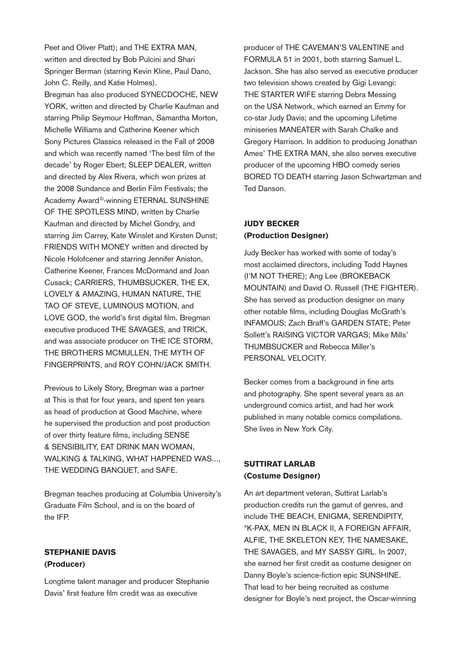Peet and Oliver Platt); and THE EXTRA MAN, written and directed by Bob Pulcini and Shari Springer Berman (starring Kevin Kline, Paul Dano, John C. Reilly, and Katie Holmes).

Bregman has also produced SYNECDOCHE, NEW YORK, written and directed by Charlie Kaufman and starring Philip Seymour Hoffman, Samantha Morton, Michelle Williams and Catherine Keener which Sony Pictures Classics released in the Fall of 2008 and which was recently named 'The best film of the decade' by Roger Ebert; SLEEP DEALER, written and directed by Alex Rivera, which won prizes at the 2008 Sundance and Berlin Film Festivals; the Academy Award<sup>®</sup>-winning ETERNAL SUNSHINE OF THE SPOTLESS MIND, written by Charlie Kaufman and directed by Michel Gondry, and starring Jim Carrey, Kate Winslet and Kirsten Dunst; FRIENDS WITH MONEY written and directed by Nicole Holofcener and starring Jennifer Aniston, Catherine Keener, Frances McDormand and Joan Cusack; CARRIERS, THUMBSUCKER, THE EX, LOVELY & AMAZING, HUMAN NATURE, THE TAO OF STEVE, LUMINOUS MOTION, and LOVE GOD, the world's first digital film. Bregman executive produced THE SAVAGES, and TRICK, and was associate producer on THE ICE STORM, THE BROTHERS MCMULLEN, THE MYTH OF FINGERPRINTS, and ROY COHN/JACK SMITH.

Previous to Likely Story, Bregman was a partner at This is that for four years, and spent ten years as head of production at Good Machine, where he supervised the production and post production of over thirty feature films, including SENSE & SENSIBILITY, EAT DRINK MAN WOMAN, WALKING & TALKING, WHAT HAPPENED WAS..., THE WEDDING BANQUET, and SAFE.

Bregman teaches producing at Columbia University's Graduate Film School, and is on the board of the IFP.

#### STEPHANIE DAVIS (Producer)

Longtime talent manager and producer Stephanie Davis' first feature film credit was as executive

producer of THE CAVEMAN'S VALENTINE and FORMULA 51 in 2001, both starring Samuel L. Jackson. She has also served as executive producer two television shows created by Gigi Levangi: THE STARTER WIFE starring Debra Messing on the USA Network, which earned an Emmy for co-star Judy Davis; and the upcoming Lifetime miniseries MANEATER with Sarah Chalke and Gregory Harrison. In addition to producing Jonathan Ames' THE EXTRA MAN, she also serves executive producer of the upcoming HBO comedy series BORED TO DEATH starring Jason Schwartzman and Ted Danson.

#### JUDY BECKER (Production Designer)

Judy Becker has worked with some of today's most acclaimed directors, including Todd Haynes (I'm Not There); Ang Lee (Brokeback MOUNTAIN) and David O. Russell (THE FIGHTER). She has served as production designer on many other notable films, including Douglas McGrath's INFAMOUS: Zach Braff's GARDEN STATE: Peter Sollett's RAISING VICTOR VARGAS; Mike Mills' Thumbsucker and Rebecca Miller's Personal Velocity.

Becker comes from a background in fine arts and photography. She spent several years as an underground comics artist, and had her work published in many notable comics compilations. She lives in New York City.

#### SUTTIRAT LARLAB (Costume Designer)

An art department veteran, Suttirat Larlab's production credits run the gamut of genres, and include THE BEACH, ENIGMA, SERENDIPITY, "K-Pax, Men in Black II, A Foreign Affair, Alfie, The Skeleton Key, The Namesake, THE SAVAGES, and MY SASSY GIRL. In 2007, she earned her first credit as costume designer on Danny Boyle's science-fiction epic SUNSHINE. That lead to her being recruited as costume designer for Boyle's next project, the Oscar-winning